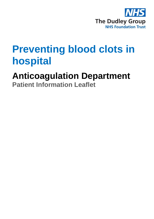

# **Preventing blood clots in hospital**

## **Anticoagulation Department**

**Patient Information Leaflet**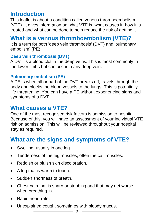## **Introduction**

This leaflet is about a condition called venous thromboembolism (VTE). It gives information on what VTE is, what causes it, how it is treated and what can be done to help reduce the risk of getting it.

### **What is a venous thromboembolism (VTE)?**

It is a term for both 'deep vein thrombosis' (DVT) and 'pulmonary embolism' (PE).

#### **Deep vein thrombosis (DVT)**

A DVT is a blood clot in the deep veins. This is most commonly in the lower limbs but can occur in any deep vein.

#### **Pulmonary embolism (PE)**

A PE is when all or part of the DVT breaks off, travels through the body and blocks the blood vessels to the lungs. This is potentially life threatening. You can have a PE without experiencing signs and symptoms of a DVT.

#### **What causes a VTE?**

One of the most recognised risk factors is admission to hospital. Because of this, you will have an assessment of your individual VTE risk on admission. This will be reviewed throughout your hospital stay as required.

## **What are the signs and symptoms of VTE?**

- Swelling, usually in one leg.
- Tenderness of the leg muscles, often the calf muscles.
- Reddish or bluish skin discoloration.
- A leg that is warm to touch.
- Sudden shortness of breath.
- Chest pain that is sharp or stabbing and that may get worse when breathing in.
- Rapid heart rate.
- Unexplained cough, sometimes with bloody mucus.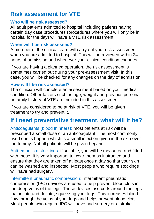## **Risk assessment for VTE**

#### **Who will be risk assessed?**

All adult patients admitted to hospital including patients having certain day case procedures (procedures where you will only be in hospital for the day) will have a VTE risk assessment.

#### **When will I be risk assessed?**

A member of the clinical team will carry out your risk assessment when you are admitted to hospital. This will be reviewed within 24 hours of admission and whenever your clinical condition changes.

If you are having a planned operation, the risk assessment is sometimes carried out during your pre-assessment visit. In this case, you will be checked for any changes on the day of admission.

#### **How will I be risk assessed?**

The clinician will complete an assessment based on your medical condition. Other factors such as age, weight and previous personal or family history of VTE are included in this assessment.

If you are considered to be at risk of VTE, you will be given treatment to try and prevent it.

## **If I need preventative treatment, what will it be?**

Anticoagulants (blood thinners): most patients at risk will be prescribed a small dose of an anticoagulant. The most commonly used one is heparin which is a small injection given in the skin over the tummy. Not all patients will be given heparin.

Anti-embolism stockings: if suitable, you will be measured and fitted with these. It is very important to wear them as instructed and ensure that they are taken off at least once a day so that your skin can be washed and inspected. Most people who require stockings will have had surgery.

Intermittent pneumatic compression: Intermittent pneumatic compression (IPC) devices are used to help prevent blood clots in the deep veins of the legs. These devices use cuffs around the legs that inflate and deflate, squeezing your legs. This increases blood flow through the veins of your legs and helps prevent blood clots. Most people who require IPC will have had surgery or a stroke.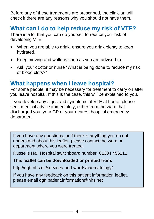Before any of these treatments are prescribed, the clinician will check if there are any reasons why you should not have them.

## **What can I do to help reduce my risk of VTE?**

There is a lot that you can do yourself to reduce your risk of developing VTE:

- When you are able to drink, ensure you drink plenty to keep hydrated.
- Keep moving and walk as soon as you are advised to.
- Ask your doctor or nurse "What is being done to reduce my risk of blood clots?"

### **What happens when I leave hospital?**

For some people, it may be necessary for treatment to carry on after you leave hospital. If this is the case, this will be explained to you.

If you develop any signs and symptoms of VTE at home, please seek medical advice immediately, either from the ward that discharged you, your GP or your nearest hospital emergency department.

If you have any questions, or if there is anything you do not understand about this leaflet, please contact the ward or department where you were treated.

Russells Hall Hospital switchboard number: 01384 456111

#### **This leaflet can be downloaded or printed from:**

http://dgft.nhs.uk/services-and-wards/haematology/

If you have any feedback on this patient information leaflet, please email dgft.patient.information@nhs.net